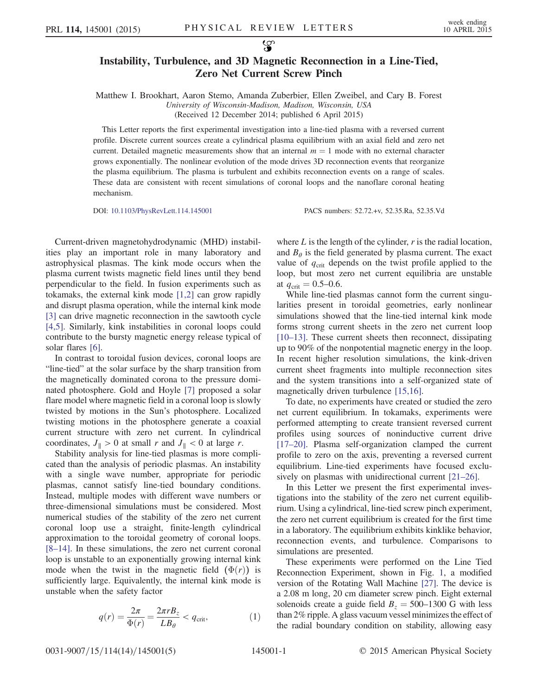## Instability, Turbulence, and 3D Magnetic Reconnection in a Line-Tied, Zero Net Current Screw Pinch

Matthew I. Brookhart, Aaron Stemo, Amanda Zuberbier, Ellen Zweibel, and Cary B. Forest University of Wisconsin-Madison, Madison, Wisconsin, USA (Received 12 December 2014; published 6 April 2015)

This Letter reports the first experimental investigation into a line-tied plasma with a reversed current profile. Discrete current sources create a cylindrical plasma equilibrium with an axial field and zero net current. Detailed magnetic measurements show that an internal  $m = 1$  mode with no external character grows exponentially. The nonlinear evolution of the mode drives 3D reconnection events that reorganize the plasma equilibrium. The plasma is turbulent and exhibits reconnection events on a range of scales. These data are consistent with recent simulations of coronal loops and the nanoflare coronal heating mechanism.

DOI: [10.1103/PhysRevLett.114.145001](http://dx.doi.org/10.1103/PhysRevLett.114.145001) PACS numbers: 52.72.+v, 52.35.Ra, 52.35.Vd

Current-driven magnetohydrodynamic (MHD) instabilities play an important role in many laboratory and astrophysical plasmas. The kink mode occurs when the plasma current twists magnetic field lines until they bend perpendicular to the field. In fusion experiments such as tokamaks, the external kink mode [\[1,2\]](#page-4-0) can grow rapidly and disrupt plasma operation, while the internal kink mode [\[3\]](#page-4-1) can drive magnetic reconnection in the sawtooth cycle [\[4,5\].](#page-4-2) Similarly, kink instabilities in coronal loops could contribute to the bursty magnetic energy release typical of solar flares [\[6\]](#page-4-3).

In contrast to toroidal fusion devices, coronal loops are "line-tied" at the solar surface by the sharp transition from the magnetically dominated corona to the pressure dominated photosphere. Gold and Hoyle [\[7\]](#page-4-4) proposed a solar flare model where magnetic field in a coronal loop is slowly twisted by motions in the Sun's photosphere. Localized twisting motions in the photosphere generate a coaxial current structure with zero net current. In cylindrical coordinates,  $J_{\parallel} > 0$  at small r and  $J_{\parallel} < 0$  at large r.

Stability analysis for line-tied plasmas is more complicated than the analysis of periodic plasmas. An instability with a single wave number, appropriate for periodic plasmas, cannot satisfy line-tied boundary conditions. Instead, multiple modes with different wave numbers or three-dimensional simulations must be considered. Most numerical studies of the stability of the zero net current coronal loop use a straight, finite-length cylindrical approximation to the toroidal geometry of coronal loops. [8–[14\].](#page-4-5) In these simulations, the zero net current coronal loop is unstable to an exponentially growing internal kink mode when the twist in the magnetic field  $(\Phi(r))$  is sufficiently large. Equivalently, the internal kink mode is unstable when the safety factor

$$
q(r) = \frac{2\pi}{\Phi(r)} = \frac{2\pi rB_z}{LB_\theta} < q_{\text{crit}},\tag{1}
$$

where  $L$  is the length of the cylinder,  $r$  is the radial location, and  $B_{\theta}$  is the field generated by plasma current. The exact value of  $q_{\text{crit}}$  depends on the twist profile applied to the loop, but most zero net current equilibria are unstable at  $q_{\text{crit}} = 0.5{\text{-}}0.6$ .

While line-tied plasmas cannot form the current singularities present in toroidal geometries, early nonlinear simulations showed that the line-tied internal kink mode forms strong current sheets in the zero net current loop [\[10](#page-4-6)–13]. These current sheets then reconnect, dissipating up to 90% of the nonpotential magnetic energy in the loop. In recent higher resolution simulations, the kink-driven current sheet fragments into multiple reconnection sites and the system transitions into a self-organized state of magnetically driven turbulence [\[15,16\].](#page-4-7)

To date, no experiments have created or studied the zero net current equilibrium. In tokamaks, experiments were performed attempting to create transient reversed current profiles using sources of noninductive current drive [\[17](#page-4-8)–20]. Plasma self-organization clamped the current profile to zero on the axis, preventing a reversed current equilibrium. Line-tied experiments have focused exclu-sively on plasmas with unidirectional current [21–[26\].](#page-4-9)

In this Letter we present the first experimental investigations into the stability of the zero net current equilibrium. Using a cylindrical, line-tied screw pinch experiment, the zero net current equilibrium is created for the first time in a laboratory. The equilibrium exhibits kinklike behavior, reconnection events, and turbulence. Comparisons to simulations are presented.

These experiments were performed on the Line Tied Reconnection Experiment, shown in Fig. [1](#page-1-0), a modified version of the Rotating Wall Machine [\[27\]](#page-4-10). The device is a 2.08 m long, 20 cm diameter screw pinch. Eight external solenoids create a guide field  $B<sub>z</sub> = 500-1300$  G with less than 2% ripple. A glass vacuum vessel minimizes the effect of the radial boundary condition on stability, allowing easy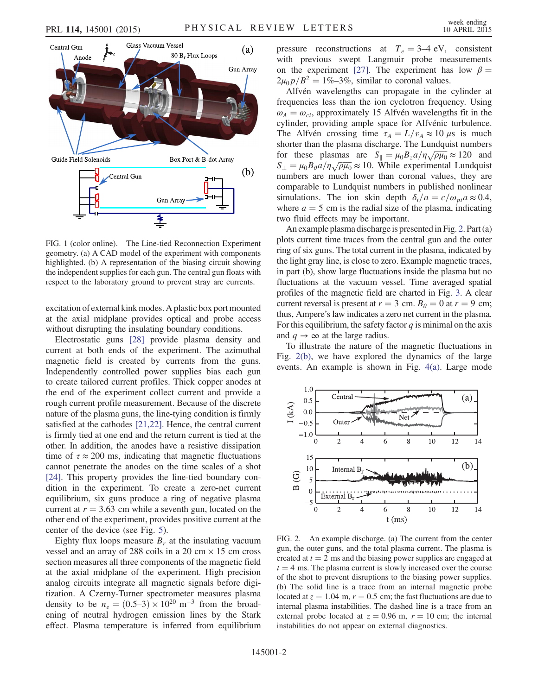<span id="page-1-0"></span>

FIG. 1 (color online). The Line-tied Reconnection Experiment geometry. (a) A CAD model of the experiment with components highlighted. (b) A representation of the biasing circuit showing the independent supplies for each gun. The central gun floats with respect to the laboratory ground to prevent stray arc currents.

excitation of external kink modes. A plastic box port mounted at the axial midplane provides optical and probe access without disrupting the insulating boundary conditions.

Electrostatic guns [\[28\]](#page-4-11) provide plasma density and current at both ends of the experiment. The azimuthal magnetic field is created by currents from the guns. Independently controlled power supplies bias each gun to create tailored current profiles. Thick copper anodes at the end of the experiment collect current and provide a rough current profile measurement. Because of the discrete nature of the plasma guns, the line-tying condition is firmly satisfied at the cathodes [\[21,22\]](#page-4-9). Hence, the central current is firmly tied at one end and the return current is tied at the other. In addition, the anodes have a resistive dissipation time of  $\tau \approx 200$  ms, indicating that magnetic fluctuations cannot penetrate the anodes on the time scales of a shot [\[24\]](#page-4-12). This property provides the line-tied boundary condition in the experiment. To create a zero-net current equilibrium, six guns produce a ring of negative plasma current at  $r = 3.63$  cm while a seventh gun, located on the other end of the experiment, provides positive current at the center of the device (see Fig. [5\)](#page-2-0).

Eighty flux loops measure  $B<sub>r</sub>$  at the insulating vacuum vessel and an array of 288 coils in a 20 cm  $\times$  15 cm cross section measures all three components of the magnetic field at the axial midplane of the experiment. High precision analog circuits integrate all magnetic signals before digitization. A Czerny-Turner spectrometer measures plasma density to be  $n_e = (0.5-3) \times 10^{20}$  m<sup>-3</sup> from the broadening of neutral hydrogen emission lines by the Stark effect. Plasma temperature is inferred from equilibrium pressure reconstructions at  $T_e = 3-4$  eV, consistent with previous swept Langmuir probe measurements on the experiment [\[27\].](#page-4-10) The experiment has low  $\beta =$  $2\mu_0 p/B^2 = 1\% - 3\%$ , similar to coronal values.

Alfvén wavelengths can propagate in the cylinder at frequencies less than the ion cyclotron frequency. Using  $\omega_A = \omega_{ci}$ , approximately 15 Alfvén wavelengths fit in the cylinder, providing ample space for Alfvénic turbulence. The Alfvén crossing time  $\tau_A = L/v_A \approx 10 \mu s$  is much shorter than the plasma discharge. The Lundquist numbers shorter than the plasma discharge. The Lundquist numbers<br>for these plasmas are  $S_{\parallel} = \mu_0 B_z a / \eta \sqrt{\rho \mu_0} \approx 120$  and for these plasmas are  $S_{\parallel} = \mu_0 B_z a / \eta \sqrt{\rho \mu_0} \approx 120$  and  $S_{\perp} = \mu_0 B_\theta a / \eta \sqrt{\rho \mu_0} \approx 10$ . While experimental Lundquist numbers are much lower than coronal values, they are comparable to Lundquist numbers in published nonlinear simulations. The ion skin depth  $\delta_i/a = c/\omega_{pi} a \approx 0.4$ , where  $a = 5$  cm is the radial size of the plasma, indicating two fluid effects may be important.

An example plasma discharge is presented in Fig. [2](#page-1-1). Part (a) plots current time traces from the central gun and the outer ring of six guns. The total current in the plasma, indicated by the light gray line, is close to zero. Example magnetic traces, in part (b), show large fluctuations inside the plasma but no fluctuations at the vacuum vessel. Time averaged spatial profiles of the magnetic field are charted in Fig. [3.](#page-2-1) A clear current reversal is present at  $r = 3$  cm.  $B_\theta = 0$  at  $r = 9$  cm; thus, Ampere's law indicates a zero net current in the plasma. For this equilibrium, the safety factor  $q$  is minimal on the axis and  $q \to \infty$  at the large radius.

To illustrate the nature of the magnetic fluctuations in Fig. [2\(b\),](#page-1-1) we have explored the dynamics of the large events. An example is shown in Fig. [4\(a\).](#page-2-2) Large mode

<span id="page-1-1"></span>

FIG. 2. An example discharge. (a) The current from the center gun, the outer guns, and the total plasma current. The plasma is created at  $t = 2$  ms and the biasing power supplies are engaged at  $t = 4$  ms. The plasma current is slowly increased over the course of the shot to prevent disruptions to the biasing power supplies. (b) The solid line is a trace from an internal magnetic probe located at  $z = 1.04$  m,  $r = 0.5$  cm; the fast fluctuations are due to internal plasma instabilities. The dashed line is a trace from an external probe located at  $z = 0.96$  m,  $r = 10$  cm; the internal instabilities do not appear on external diagnostics.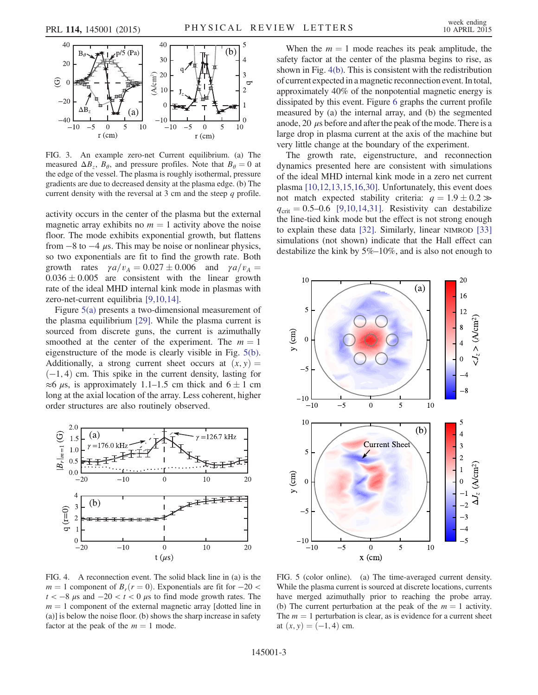<span id="page-2-1"></span>

FIG. 3. An example zero-net Current equilibrium. (a) The measured  $\Delta B_z$ ,  $B_\theta$ , and pressure profiles. Note that  $B_\theta = 0$  at the edge of the vessel. The plasma is roughly isothermal, pressure gradients are due to decreased density at the plasma edge. (b) The current density with the reversal at 3 cm and the steep  $q$  profile.

activity occurs in the center of the plasma but the external magnetic array exhibits no  $m = 1$  activity above the noise floor. The mode exhibits exponential growth, but flattens from  $-8$  to  $-4$   $\mu$ s. This may be noise or nonlinear physics, so two exponentials are fit to find the growth rate. Both growth rates  $\gamma a/v_A = 0.027 \pm 0.006$  and  $\gamma a/v_A =$  $0.036 \pm 0.005$  are consistent with the linear growth rate of the ideal MHD internal kink mode in plasmas with zero-net-current equilibria [\[9,10,14\].](#page-4-13)

Figure [5\(a\)](#page-2-0) presents a two-dimensional measurement of the plasma equilibrium [\[29\]](#page-4-14). While the plasma current is sourced from discrete guns, the current is azimuthally smoothed at the center of the experiment. The  $m = 1$ eigenstructure of the mode is clearly visible in Fig. [5\(b\)](#page-2-0). Additionally, a strong current sheet occurs at  $(x, y) =$  $(-1, 4)$  cm. This spike in the current density, lasting for  $\approx$  6  $\mu$ s, is approximately 1.1–1.5 cm thick and 6  $\pm$  1 cm long at the axial location of the array. Less coherent, higher order structures are also routinely observed.

<span id="page-2-2"></span>

FIG. 4. A reconnection event. The solid black line in (a) is the  $m = 1$  component of  $B_r(r = 0)$ . Exponentials are fit for  $-20 <$  $t < -8 \mu s$  and  $-20 < t < 0 \mu s$  to find mode growth rates. The  $m = 1$  component of the external magnetic array [dotted line in (a)] is below the noise floor. (b) shows the sharp increase in safety factor at the peak of the  $m = 1$  mode.

When the  $m = 1$  mode reaches its peak amplitude, the safety factor at the center of the plasma begins to rise, as shown in Fig. [4\(b\).](#page-2-2) This is consistent with the redistribution of current expected in a magnetic reconnection event. In total, approximately 40% of the nonpotential magnetic energy is dissipated by this event. Figure [6](#page-3-0) graphs the current profile measured by (a) the internal array, and (b) the segmented anode, 20  $\mu$ s before and after the peak of the mode. There is a large drop in plasma current at the axis of the machine but very little change at the boundary of the experiment.

The growth rate, eigenstructure, and reconnection dynamics presented here are consistent with simulations of the ideal MHD internal kink mode in a zero net current plasma [\[10,12,13,15,16,30\].](#page-4-6) Unfortunately, this event does not match expected stability criteria:  $q = 1.9 \pm 0.2 \gg$  $q_{\text{crit}} = 0.5{\text{-}}0.6$  [\[9,10,14,31\]](#page-4-13). Resistivity can destabilize the line-tied kink mode but the effect is not strong enough to explain these data [\[32\]](#page-4-15). Similarly, linear NIMROD [\[33\]](#page-4-16) simulations (not shown) indicate that the Hall effect can destabilize the kink by 5%–10%, and is also not enough to

<span id="page-2-0"></span>

FIG. 5 (color online). (a) The time-averaged current density. While the plasma current is sourced at discrete locations, currents have merged azimuthally prior to reaching the probe array. (b) The current perturbation at the peak of the  $m = 1$  activity. The  $m = 1$  perturbation is clear, as is evidence for a current sheet at  $(x, y) = (-1, 4)$  cm.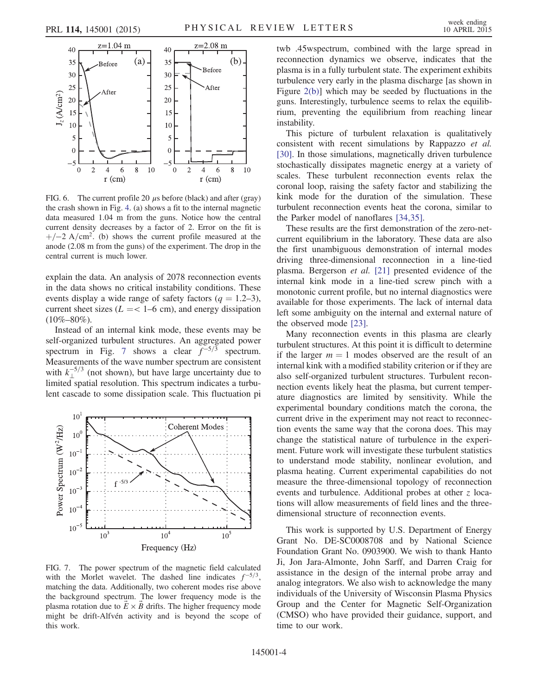<span id="page-3-0"></span>

FIG. 6. The current profile 20  $\mu$ s before (black) and after (gray) the crash shown in Fig. [4](#page-2-2). (a) shows a fit to the internal magnetic data measured 1.04 m from the guns. Notice how the central current density decreases by a factor of 2. Error on the fit is  $+/-2$  A/cm<sup>2</sup>. (b) shows the current profile measured at the anode (2.08 m from the guns) of the experiment. The drop in the central current is much lower.

explain the data. An analysis of 2078 reconnection events in the data shows no critical instability conditions. These events display a wide range of safety factors ( $q = 1.2-3$ ), current sheet sizes ( $L = < 1-6$  cm), and energy dissipation  $(10\% - 80\%)$ .

Instead of an internal kink mode, these events may be self-organized turbulent structures. An aggregated power spectrum in Fig. [7](#page-3-1) shows a clear  $f^{-5/3}$  spectrum. Measurements of the wave number spectrum are consistent with  $k_{\perp}^{-5/3}$  (not shown), but have large uncertainty due to limited spatial resolution. This spectrum indicates a turbulent cascade to some dissipation scale. This fluctuation pi

<span id="page-3-1"></span>

FIG. 7. The power spectrum of the magnetic field calculated with the Morlet wavelet. The dashed line indicates  $f^{-5/3}$ , matching the data. Additionally, two coherent modes rise above the background spectrum. The lower frequency mode is the plasma rotation due to  $\overrightarrow{E} \times \overrightarrow{B}$  drifts. The higher frequency mode might be drift-Alfvén activity and is beyond the scope of this work.

twb .45wspectrum, combined with the large spread in reconnection dynamics we observe, indicates that the plasma is in a fully turbulent state. The experiment exhibits turbulence very early in the plasma discharge [as shown in Figure [2\(b\)](#page-1-1)] which may be seeded by fluctuations in the guns. Interestingly, turbulence seems to relax the equilibrium, preventing the equilibrium from reaching linear instability.

This picture of turbulent relaxation is qualitatively consistent with recent simulations by Rappazzo et al. [\[30\]](#page-4-17). In those simulations, magnetically driven turbulence stochastically dissipates magnetic energy at a variety of scales. These turbulent reconnection events relax the coronal loop, raising the safety factor and stabilizing the kink mode for the duration of the simulation. These turbulent reconnection events heat the corona, similar to the Parker model of nanoflares [\[34,35\].](#page-4-18)

These results are the first demonstration of the zero-netcurrent equilibrium in the laboratory. These data are also the first unambiguous demonstration of internal modes driving three-dimensional reconnection in a line-tied plasma. Bergerson et al. [\[21\]](#page-4-9) presented evidence of the internal kink mode in a line-tied screw pinch with a monotonic current profile, but no internal diagnostics were available for those experiments. The lack of internal data left some ambiguity on the internal and external nature of the observed mode [\[23\].](#page-4-19)

Many reconnection events in this plasma are clearly turbulent structures. At this point it is difficult to determine if the larger  $m = 1$  modes observed are the result of an internal kink with a modified stability criterion or if they are also self-organized turbulent structures. Turbulent reconnection events likely heat the plasma, but current temperature diagnostics are limited by sensitivity. While the experimental boundary conditions match the corona, the current drive in the experiment may not react to reconnection events the same way that the corona does. This may change the statistical nature of turbulence in the experiment. Future work will investigate these turbulent statistics to understand mode stability, nonlinear evolution, and plasma heating. Current experimental capabilities do not measure the three-dimensional topology of reconnection events and turbulence. Additional probes at other z locations will allow measurements of field lines and the threedimensional structure of reconnection events.

This work is supported by U.S. Department of Energy Grant No. DE-SC0008708 and by National Science Foundation Grant No. 0903900. We wish to thank Hanto Ji, Jon Jara-Almonte, John Sarff, and Darren Craig for assistance in the design of the internal probe array and analog integrators. We also wish to acknowledge the many individuals of the University of Wisconsin Plasma Physics Group and the Center for Magnetic Self-Organization (CMSO) who have provided their guidance, support, and time to our work.